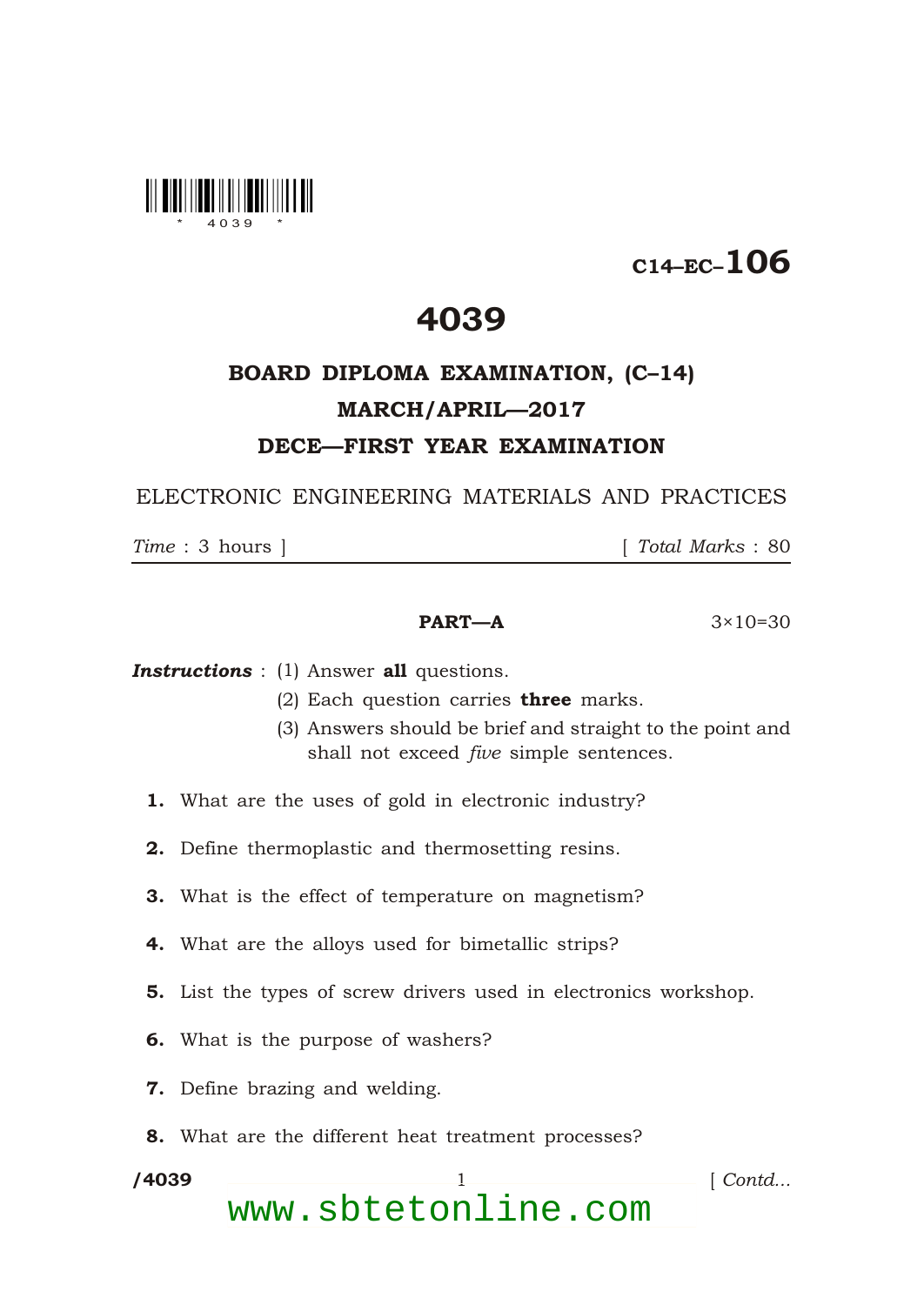

## C14–EC–106

## 4039

## BOARD DIPLOMA EXAMINATION, (C–14) MARCH/APRIL—2017 DECE—FIRST YEAR EXAMINATION

ELECTRONIC ENGINEERING MATERIALS AND PRACTICES

\*

*Time* : 3 hours ] [ *Total Marks* : 80

## **PART—A**  $3 \times 10 = 30$

**Instructions** : (1) Answer all questions.

- (2) Each question carries three marks.
- (3) Answers should be brief and straight to the point and shall not exceed *five* simple sentences.
- 1. What are the uses of gold in electronic industry?
- 2. Define thermoplastic and thermosetting resins.
- 3. What is the effect of temperature on magnetism?
- 4. What are the alloys used for bimetallic strips?
- 5. List the types of screw drivers used in electronics workshop.
- 6. What is the purpose of washers?
- 7. Define brazing and welding.
- 8. What are the different heat treatment processes?

/4039 1 *Contd...* www.sbtetonline.com